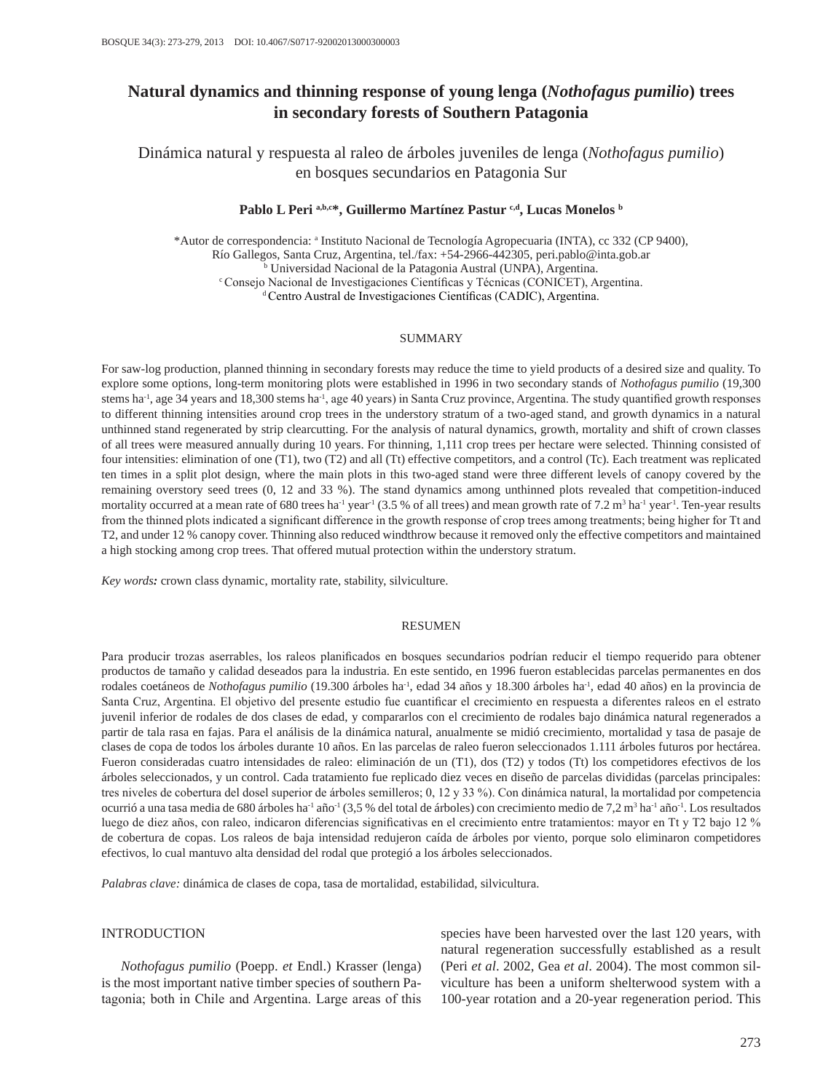# **Natural dynamics and thinning response of young lenga (***Nothofagus pumilio***) trees in secondary forests of Southern Patagonia**

Dinámica natural y respuesta al raleo de árboles juveniles de lenga (*Nothofagus pumilio*) en bosques secundarios en Patagonia Sur

## Pablo L Peri a,b,c\*, Guillermo Martínez Pastur c,d, Lucas Monelos b

\*Autor de correspondencia: a Instituto Nacional de Tecnología Agropecuaria (INTA), cc 332 (CP 9400), Río Gallegos, Santa Cruz, Argentina, tel./fax: +54-2966-442305, peri.pablo@inta.gob.ar b Universidad Nacional de la Patagonia Austral (UNPA), Argentina. <sup>c</sup> Consejo Nacional de Investigaciones Científicas y Técnicas (CONICET), Argentina. <sup>d</sup> Centro Austral de Investigaciones Científicas (CADIC), Argentina.

### SUMMARY

For saw-log production, planned thinning in secondary forests may reduce the time to yield products of a desired size and quality. To explore some options, long-term monitoring plots were established in 1996 in two secondary stands of *Nothofagus pumilio* (19,300 stems ha-1, age 34 years and 18,300 stems ha-1, age 40 years) in Santa Cruz province, Argentina. The study quantified growth responses to different thinning intensities around crop trees in the understory stratum of a two-aged stand, and growth dynamics in a natural unthinned stand regenerated by strip clearcutting. For the analysis of natural dynamics, growth, mortality and shift of crown classes of all trees were measured annually during 10 years. For thinning, 1,111 crop trees per hectare were selected. Thinning consisted of four intensities: elimination of one (T1), two (T2) and all (Tt) effective competitors, and a control (Tc). Each treatment was replicated ten times in a split plot design, where the main plots in this two-aged stand were three different levels of canopy covered by the remaining overstory seed trees (0, 12 and 33 %). The stand dynamics among unthinned plots revealed that competition-induced mortality occurred at a mean rate of 680 trees ha<sup>-1</sup> year<sup>1</sup> (3.5 % of all trees) and mean growth rate of 7.2  $m<sup>3</sup>$  ha<sup>-1</sup> year<sup>-1</sup>. Ten-year results from the thinned plots indicated a significant difference in the growth response of crop trees among treatments; being higher for Tt and T2, and under 12 % canopy cover. Thinning also reduced windthrow because it removed only the effective competitors and maintained a high stocking among crop trees. That offered mutual protection within the understory stratum.

*Key words:* crown class dynamic, mortality rate, stability, silviculture.

#### RESUMEN

Para producir trozas aserrables, los raleos planificados en bosques secundarios podrían reducir el tiempo requerido para obtener productos de tamaño y calidad deseados para la industria. En este sentido, en 1996 fueron establecidas parcelas permanentes en dos rodales coetáneos de *Nothofagus pumilio* (19.300 árboles ha-1, edad 34 años y 18.300 árboles ha-1, edad 40 años) en la provincia de Santa Cruz, Argentina. El objetivo del presente estudio fue cuantificar el crecimiento en respuesta a diferentes raleos en el estrato juvenil inferior de rodales de dos clases de edad, y compararlos con el crecimiento de rodales bajo dinámica natural regenerados a partir de tala rasa en fajas. Para el análisis de la dinámica natural, anualmente se midió crecimiento, mortalidad y tasa de pasaje de clases de copa de todos los árboles durante 10 años. En las parcelas de raleo fueron seleccionados 1.111 árboles futuros por hectárea. Fueron consideradas cuatro intensidades de raleo: eliminación de un (T1), dos (T2) y todos (Tt) los competidores efectivos de los árboles seleccionados, y un control. Cada tratamiento fue replicado diez veces en diseño de parcelas divididas (parcelas principales: tres niveles de cobertura del dosel superior de árboles semilleros; 0, 12 y 33 %). Con dinámica natural, la mortalidad por competencia ocurrió a una tasa media de 680 árboles ha<sup>-1</sup> año<sup>-1</sup> (3,5 % del total de árboles) con crecimiento medio de 7,2 m<sup>3</sup> ha<sup>-1</sup> año<sup>-1</sup>. Los resultados luego de diez años, con raleo, indicaron diferencias significativas en el crecimiento entre tratamientos: mayor en Tt y T2 bajo 12 % de cobertura de copas. Los raleos de baja intensidad redujeron caída de árboles por viento, porque solo eliminaron competidores efectivos, lo cual mantuvo alta densidad del rodal que protegió a los árboles seleccionados.

*Palabras clave:* dinámica de clases de copa, tasa de mortalidad, estabilidad, silvicultura.

### INTRODUCTION

*Nothofagus pumilio* (Poepp. *et* Endl.) Krasser (lenga) is the most important native timber species of southern Patagonia; both in Chile and Argentina. Large areas of this species have been harvested over the last 120 years, with natural regeneration successfully established as a result (Peri *et al*. 2002, Gea *et al*. 2004). The most common silviculture has been a uniform shelterwood system with a 100-year rotation and a 20-year regeneration period. This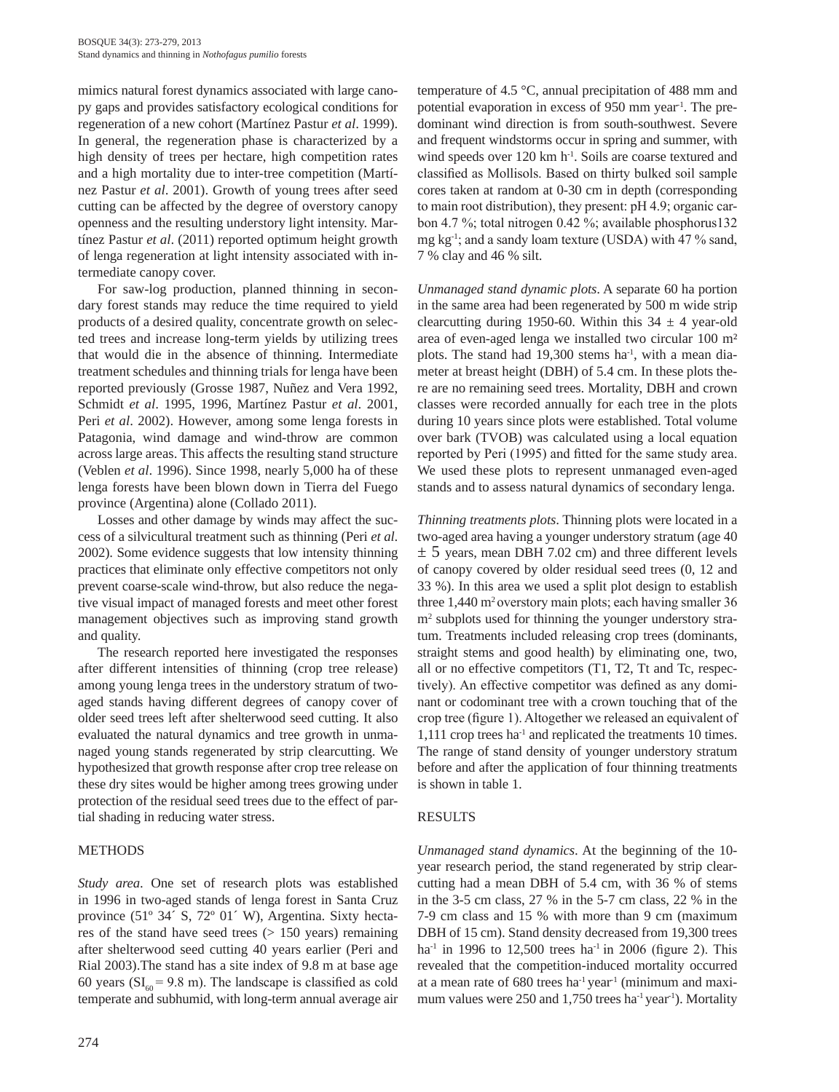mimics natural forest dynamics associated with large canopy gaps and provides satisfactory ecological conditions for regeneration of a new cohort (Martínez Pastur *et al*. 1999). In general, the regeneration phase is characterized by a high density of trees per hectare, high competition rates and a high mortality due to inter-tree competition (Martínez Pastur *et al*. 2001). Growth of young trees after seed cutting can be affected by the degree of overstory canopy openness and the resulting understory light intensity. Martínez Pastur *et al*. (2011) reported optimum height growth of lenga regeneration at light intensity associated with intermediate canopy cover.

For saw-log production, planned thinning in secondary forest stands may reduce the time required to yield products of a desired quality, concentrate growth on selected trees and increase long-term yields by utilizing trees that would die in the absence of thinning. Intermediate treatment schedules and thinning trials for lenga have been reported previously (Grosse 1987, Nuñez and Vera 1992, Schmidt *et al*. 1995, 1996, Martínez Pastur *et al*. 2001, Peri *et al*. 2002). However, among some lenga forests in Patagonia, wind damage and wind-throw are common across large areas. This affects the resulting stand structure (Veblen *et al*. 1996). Since 1998, nearly 5,000 ha of these lenga forests have been blown down in Tierra del Fuego province (Argentina) alone (Collado 2011).

Losses and other damage by winds may affect the success of a silvicultural treatment such as thinning (Peri *et al*. 2002). Some evidence suggests that low intensity thinning practices that eliminate only effective competitors not only prevent coarse-scale wind-throw, but also reduce the negative visual impact of managed forests and meet other forest management objectives such as improving stand growth and quality.

The research reported here investigated the responses after different intensities of thinning (crop tree release) among young lenga trees in the understory stratum of twoaged stands having different degrees of canopy cover of older seed trees left after shelterwood seed cutting. It also evaluated the natural dynamics and tree growth in unmanaged young stands regenerated by strip clearcutting. We hypothesized that growth response after crop tree release on these dry sites would be higher among trees growing under protection of the residual seed trees due to the effect of partial shading in reducing water stress.

# METHODS

*Study area*. One set of research plots was established in 1996 in two-aged stands of lenga forest in Santa Cruz province (51º 34´ S, 72º 01´ W), Argentina. Sixty hectares of the stand have seed trees (> 150 years) remaining after shelterwood seed cutting 40 years earlier (Peri and Rial 2003).The stand has a site index of 9.8 m at base age 60 years ( $SI<sub>60</sub> = 9.8$  m). The landscape is classified as cold temperate and subhumid, with long-term annual average air temperature of 4.5 °C, annual precipitation of 488 mm and potential evaporation in excess of 950 mm year<sup>1</sup>. The predominant wind direction is from south-southwest. Severe and frequent windstorms occur in spring and summer, with wind speeds over 120 km h<sup>-1</sup>. Soils are coarse textured and classified as Mollisols. Based on thirty bulked soil sample cores taken at random at 0-30 cm in depth (corresponding to main root distribution), they present: pH 4.9; organic carbon 4.7 %; total nitrogen 0.42 %; available phosphorus132 mg kg-1; and a sandy loam texture (USDA) with 47 % sand, 7 % clay and 46 % silt.

*Unmanaged stand dynamic plots*. A separate 60 ha portion in the same area had been regenerated by 500 m wide strip clearcutting during 1950-60. Within this  $34 \pm 4$  year-old area of even-aged lenga we installed two circular 100 m² plots. The stand had  $19,300$  stems ha<sup>-1</sup>, with a mean diameter at breast height (DBH) of 5.4 cm. In these plots there are no remaining seed trees. Mortality, DBH and crown classes were recorded annually for each tree in the plots during 10 years since plots were established. Total volume over bark (TVOB) was calculated using a local equation reported by Peri (1995) and fitted for the same study area. We used these plots to represent unmanaged even-aged stands and to assess natural dynamics of secondary lenga.

*Thinning treatments plots*. Thinning plots were located in a two-aged area having a younger understory stratum (age 40  $\pm$  5 years, mean DBH 7.02 cm) and three different levels of canopy covered by older residual seed trees (0, 12 and 33 %). In this area we used a split plot design to establish three  $1,440 \text{ m}^2$  overstory main plots; each having smaller 36 m2 subplots used for thinning the younger understory stratum. Treatments included releasing crop trees (dominants, straight stems and good health) by eliminating one, two, all or no effective competitors (T1, T2, Tt and Tc, respectively). An effective competitor was defined as any dominant or codominant tree with a crown touching that of the crop tree (figure 1). Altogether we released an equivalent of 1,111 crop trees ha-1 and replicated the treatments 10 times. The range of stand density of younger understory stratum before and after the application of four thinning treatments is shown in table 1.

# RESULTS

*Unmanaged stand dynamics*. At the beginning of the 10 year research period, the stand regenerated by strip clearcutting had a mean DBH of 5.4 cm, with 36 % of stems in the 3-5 cm class, 27 % in the 5-7 cm class, 22 % in the 7-9 cm class and 15 % with more than 9 cm (maximum DBH of 15 cm). Stand density decreased from 19,300 trees ha<sup>-1</sup> in 1996 to 12,500 trees ha<sup>-1</sup> in 2006 (figure 2). This revealed that the competition-induced mortality occurred at a mean rate of 680 trees ha<sup>-1</sup> year<sup>-1</sup> (minimum and maximum values were 250 and 1,750 trees ha<sup>-1</sup> year<sup>-1</sup>). Mortality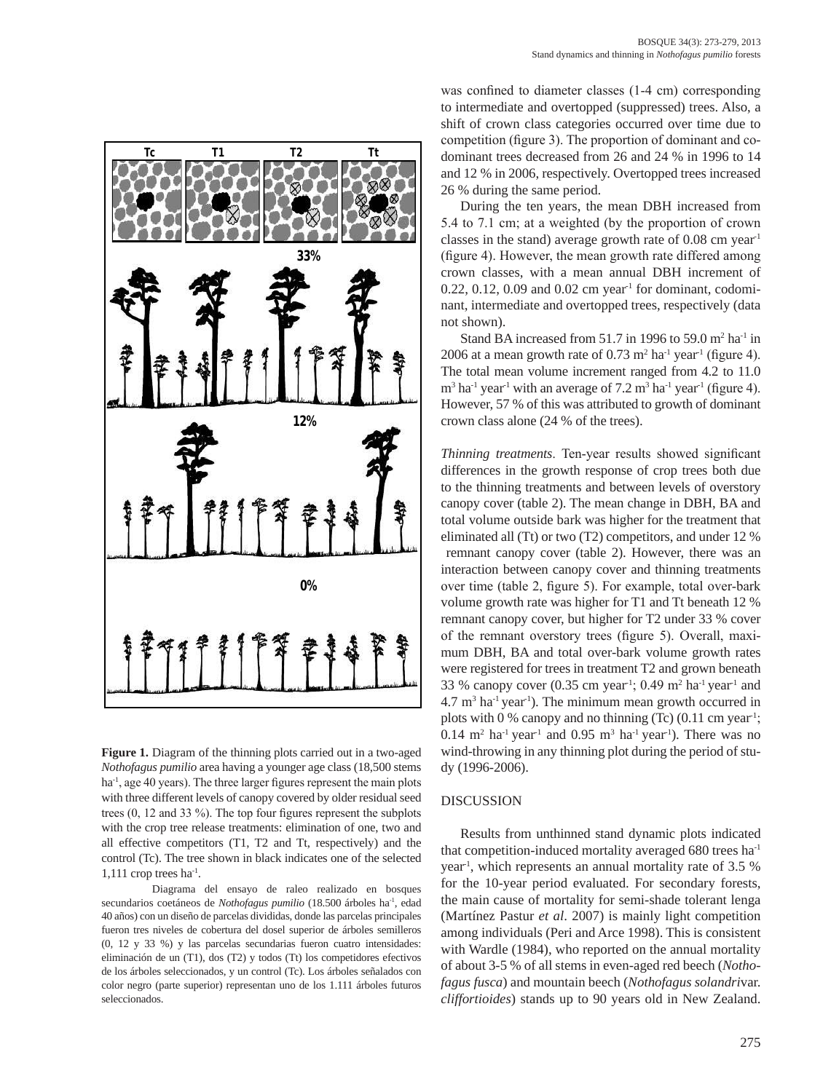

**Figure 1.** Diagram of the thinning plots carried out in a two-aged *Nothofagus pumilio* area having a younger age class (18,500 stems ha<sup>-1</sup>, age 40 years). The three larger figures represent the main plots with three different levels of canopy covered by older residual seed trees (0, 12 and 33 %). The top four figures represent the subplots with the crop tree release treatments: elimination of one, two and all effective competitors (T1, T2 and Tt, respectively) and the control (Tc). The tree shown in black indicates one of the selected  $1,111$  crop trees ha<sup>-1</sup>.

Diagrama del ensayo de raleo realizado en bosques secundarios coetáneos de *Nothofagus pumilio* (18.500 árboles ha-1, edad 40 años) con un diseño de parcelas divididas, donde las parcelas principales fueron tres niveles de cobertura del dosel superior de árboles semilleros (0, 12 y 33 %) y las parcelas secundarias fueron cuatro intensidades: eliminación de un (T1), dos (T2) y todos (Tt) los competidores efectivos de los árboles seleccionados, y un control (Tc). Los árboles señalados con color negro (parte superior) representan uno de los 1.111 árboles futuros seleccionados.

was confined to diameter classes (1-4 cm) corresponding to intermediate and overtopped (suppressed) trees. Also, a shift of crown class categories occurred over time due to competition (figure 3). The proportion of dominant and codominant trees decreased from 26 and 24 % in 1996 to 14 and 12 % in 2006, respectively. Overtopped trees increased 26 % during the same period.

During the ten years, the mean DBH increased from 5.4 to 7.1 cm; at a weighted (by the proportion of crown classes in the stand) average growth rate of  $0.08$  cm year<sup>1</sup> (figure 4). However, the mean growth rate differed among crown classes, with a mean annual DBH increment of  $0.22$ ,  $0.12$ ,  $0.09$  and  $0.02$  cm year<sup>1</sup> for dominant, codominant, intermediate and overtopped trees, respectively (data not shown).

Stand BA increased from 51.7 in 1996 to 59.0  $m<sup>2</sup>$  ha<sup>-1</sup> in 2006 at a mean growth rate of  $0.73 \text{ m}^2$  ha<sup>-1</sup> year<sup>-1</sup> (figure 4). The total mean volume increment ranged from 4.2 to 11.0  $\text{m}^3$  ha<sup>-1</sup> year<sup>-1</sup> with an average of 7.2 m<sup>3</sup> ha<sup>-1</sup> year<sup>-1</sup> (figure 4). However, 57 % of this was attributed to growth of dominant crown class alone (24 % of the trees).

*Thinning treatments*. Ten-year results showed significant differences in the growth response of crop trees both due to the thinning treatments and between levels of overstory canopy cover (table 2). The mean change in DBH, BA and total volume outside bark was higher for the treatment that eliminated all (Tt) or two (T2) competitors, and under 12 % remnant canopy cover (table 2). However, there was an interaction between canopy cover and thinning treatments over time (table 2, figure 5). For example, total over-bark volume growth rate was higher for T1 and Tt beneath 12 % remnant canopy cover, but higher for T2 under 33 % cover of the remnant overstory trees (figure 5). Overall, maximum DBH, BA and total over-bark volume growth rates were registered for trees in treatment T2 and grown beneath 33 % canopy cover  $(0.35 \text{ cm year}^1; 0.49 \text{ m}^2 \text{ ha}^1 \text{ year}^1 \text{ and}$  $4.7 \text{ m}^3$  ha<sup>-1</sup> year<sup>-1</sup>). The minimum mean growth occurred in plots with 0 % canopy and no thinning (Tc)  $(0.11 \text{ cm year}^1)$ ;  $0.14 \text{ m}^2$  ha<sup>-1</sup> year<sup>-1</sup> and  $0.95 \text{ m}^3$  ha<sup>-1</sup> year<sup>-1</sup>). There was no wind-throwing in any thinning plot during the period of study (1996-2006).

#### DISCUSSION

Results from unthinned stand dynamic plots indicated that competition-induced mortality averaged 680 trees ha-1 year-1, which represents an annual mortality rate of 3.5 % for the 10-year period evaluated. For secondary forests, the main cause of mortality for semi-shade tolerant lenga (Martínez Pastur *et al*. 2007) is mainly light competition among individuals (Peri and Arce 1998). This is consistent with Wardle (1984), who reported on the annual mortality of about 3-5 % of all stems in even-aged red beech (*Nothofagus fusca*) and mountain beech (*Nothofagus solandri*var. *cliffortioides*) stands up to 90 years old in New Zealand.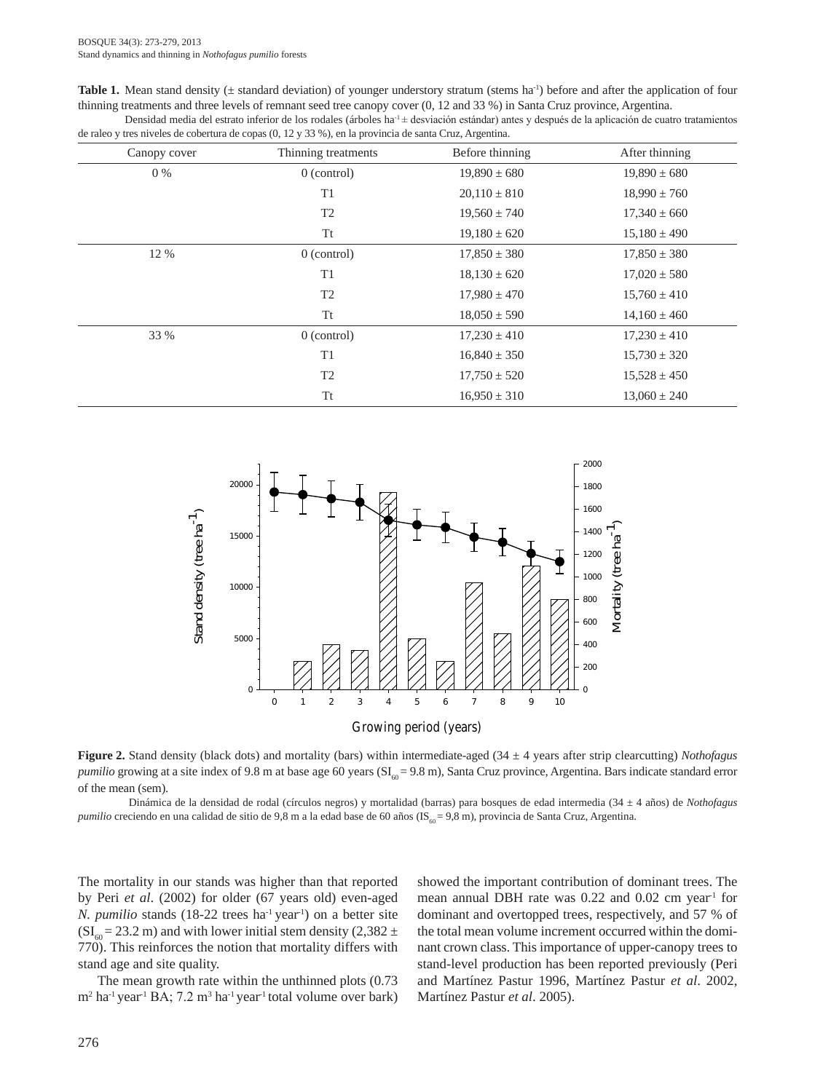**Table 1.** Mean stand density ( $\pm$  standard deviation) of younger understory stratum (stems ha<sup>-1</sup>) before and after the application of four thinning treatments and three levels of remnant seed tree canopy cover (0, 12 and 33 %) in Santa Cruz province, Argentina. Densidad media del estrato inferior de los rodales (árboles ha<sup>-1</sup> $\pm$  desviación estándar) antes y después de la aplicación de cuatro tratamientos

| de raleo y tres niveles de cobertura de copas $(0, 12 \text{ y } 33 \text{ %})$ , en la provincia de santa Cruz, Argentina. |                     |                  |                  |  |
|-----------------------------------------------------------------------------------------------------------------------------|---------------------|------------------|------------------|--|
| Canopy cover                                                                                                                | Thinning treatments | Before thinning  | After thinning   |  |
| $0\%$                                                                                                                       | $0$ (control)       | $19,890 \pm 680$ | $19,890 \pm 680$ |  |
|                                                                                                                             | T1                  | $20,110 \pm 810$ | $18,990 \pm 760$ |  |
|                                                                                                                             | T <sub>2</sub>      | $19,560 \pm 740$ | $17,340 \pm 660$ |  |
|                                                                                                                             | Tt                  | $19,180 \pm 620$ | $15,180 \pm 490$ |  |
| 12 %                                                                                                                        | $0$ (control)       | $17,850 \pm 380$ | $17,850 \pm 380$ |  |
|                                                                                                                             | T <sub>1</sub>      | $18,130 \pm 620$ | $17,020 \pm 580$ |  |
|                                                                                                                             | T <sub>2</sub>      | $17,980 \pm 470$ | $15,760 \pm 410$ |  |
|                                                                                                                             | Tt                  | $18,050 \pm 590$ | $14,160 \pm 460$ |  |
| 33 %                                                                                                                        | $0$ (control)       | $17,230 \pm 410$ | $17,230 \pm 410$ |  |
|                                                                                                                             | T1                  | $16,840 \pm 350$ | $15,730 \pm 320$ |  |
|                                                                                                                             | T <sub>2</sub>      | $17,750 \pm 520$ | $15,528 \pm 450$ |  |
|                                                                                                                             | Tt                  | $16,950 \pm 310$ | $13,060 \pm 240$ |  |



**Figure 2.** Stand density (black dots) and mortality (bars) within intermediate-aged (34 ± 4 years after strip clearcutting) *Nothofagus pumilio* growing at a site index of 9.8 m at base age 60 years (SI<sub>60</sub> = 9.8 m), Santa Cruz province, Argentina. Bars indicate standard error of the mean (sem).

Dinámica de la densidad de rodal (círculos negros) y mortalidad (barras) para bosques de edad intermedia (34 ± 4 años) de *Nothofagus pumilio* creciendo en una calidad de sitio de 9,8 m a la edad base de 60 años (IS<sub>60</sub> = 9,8 m), provincia de Santa Cruz, Argentina.

The mortality in our stands was higher than that reported by Peri *et al*. (2002) for older (67 years old) even-aged *N. pumilio* stands (18-22 trees ha<sup>-1</sup> year<sup>-1</sup>) on a better site  $(SI<sub>60</sub> = 23.2 m)$  and with lower initial stem density (2,382 ± 770). This reinforces the notion that mortality differs with stand age and site quality.

The mean growth rate within the unthinned plots  $(0.73)$ m<sup>2</sup> ha<sup>-1</sup> year<sup>-1</sup> BA; 7.2 m<sup>3</sup> ha<sup>-1</sup> year<sup>-1</sup> total volume over bark) showed the important contribution of dominant trees. The mean annual DBH rate was  $0.22$  and  $0.02$  cm year<sup>1</sup> for dominant and overtopped trees, respectively, and 57 % of the total mean volume increment occurred within the dominant crown class. This importance of upper-canopy trees to stand-level production has been reported previously (Peri and Martínez Pastur 1996, Martínez Pastur *et al*. 2002, Martínez Pastur *et al*. 2005).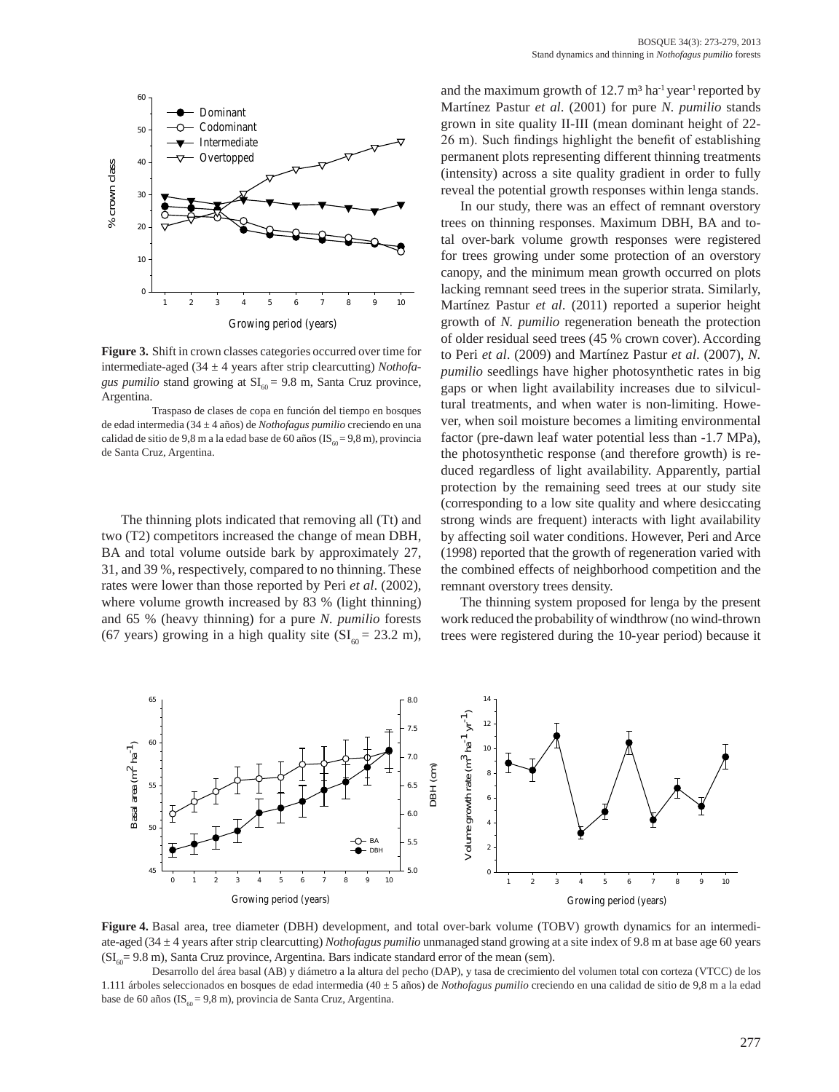

**Figure 3.** Shift in crown classes categories occurred over time for intermediate-aged (34 ± 4 years after strip clearcutting) *Nothofagus pumilio* stand growing at  $SI<sub>60</sub> = 9.8$  m, Santa Cruz province, Argentina.

Traspaso de clases de copa en función del tiempo en bosques de edad intermedia (34 ± 4 años) de *Nothofagus pumilio* creciendo en una calidad de sitio de 9,8 m a la edad base de 60 años ( $IS_{60} = 9.8$  m), provincia de Santa Cruz, Argentina.

The thinning plots indicated that removing all (Tt) and two (T2) competitors increased the change of mean DBH, BA and total volume outside bark by approximately 27, 31, and 39 %, respectively, compared to no thinning. These rates were lower than those reported by Peri *et al*. (2002), where volume growth increased by 83 % (light thinning) and 65 % (heavy thinning) for a pure *N. pumilio* forests (67 years) growing in a high quality site ( $SI<sub>60</sub> = 23.2$  m),

and the maximum growth of  $12.7 \text{ m}^3$  ha<sup>-1</sup> vear<sup>-1</sup> reported by Martínez Pastur *et al*. (2001) for pure *N. pumilio* stands grown in site quality II-III (mean dominant height of 22- 26 m). Such findings highlight the benefit of establishing permanent plots representing different thinning treatments (intensity) across a site quality gradient in order to fully reveal the potential growth responses within lenga stands.

In our study, there was an effect of remnant overstory trees on thinning responses. Maximum DBH, BA and total over-bark volume growth responses were registered for trees growing under some protection of an overstory canopy, and the minimum mean growth occurred on plots lacking remnant seed trees in the superior strata. Similarly, Martínez Pastur *et al*. (2011) reported a superior height growth of *N. pumilio* regeneration beneath the protection of older residual seed trees (45 % crown cover). According to Peri *et al*. (2009) and Martínez Pastur *et al*. (2007), *N. pumilio* seedlings have higher photosynthetic rates in big gaps or when light availability increases due to silvicultural treatments, and when water is non-limiting. However, when soil moisture becomes a limiting environmental factor (pre-dawn leaf water potential less than -1.7 MPa), the photosynthetic response (and therefore growth) is reduced regardless of light availability. Apparently, partial protection by the remaining seed trees at our study site (corresponding to a low site quality and where desiccating strong winds are frequent) interacts with light availability by affecting soil water conditions. However, Peri and Arce (1998) reported that the growth of regeneration varied with the combined effects of neighborhood competition and the remnant overstory trees density.

The thinning system proposed for lenga by the present work reduced the probability of windthrow (no wind-thrown trees were registered during the 10-year period) because it



**Figure 4.** Basal area, tree diameter (DBH) development, and total over-bark volume (TOBV) growth dynamics for an intermediate-aged (34 ± 4 years after strip clearcutting) *Nothofagus pumilio* unmanaged stand growing at a site index of 9.8 m at base age 60 years  $(SI<sub>60</sub>= 9.8 m)$ , Santa Cruz province, Argentina. Bars indicate standard error of the mean (sem).

Desarrollo del área basal (AB) y diámetro a la altura del pecho (DAP), y tasa de crecimiento del volumen total con corteza (VTCC) de los 1.111 árboles seleccionados en bosques de edad intermedia (40 ± 5 años) de *Nothofagus pumilio* creciendo en una calidad de sitio de 9,8 m a la edad base de 60 años (IS<sub>60</sub> = 9,8 m), provincia de Santa Cruz, Argentina.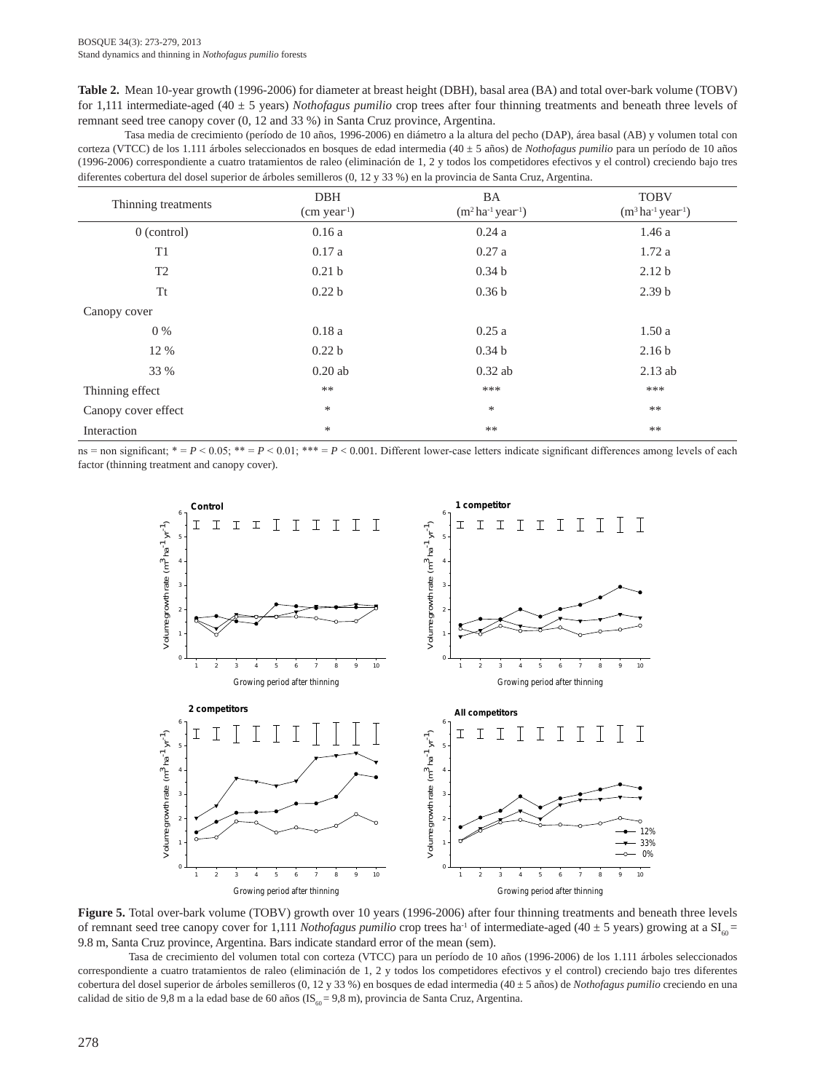**Table 2.** Mean 10-year growth (1996-2006) for diameter at breast height (DBH), basal area (BA) and total over-bark volume (TOBV) for 1,111 intermediate-aged (40 ± 5 years) *Nothofagus pumilio* crop trees after four thinning treatments and beneath three levels of remnant seed tree canopy cover (0, 12 and 33 %) in Santa Cruz province, Argentina.

Tasa media de crecimiento (período de 10 años, 1996-2006) en diámetro a la altura del pecho (DAP), área basal (AB) y volumen total con corteza (VTCC) de los 1.111 árboles seleccionados en bosques de edad intermedia (40 ± 5 años) de *Nothofagus pumilio* para un período de 10 años (1996-2006) correspondiente a cuatro tratamientos de raleo (eliminación de 1, 2 y todos los competidores efectivos y el control) creciendo bajo tres diferentes cobertura del dosel superior de árboles semilleros (0, 12 y 33 %) en la provincia de Santa Cruz, Argentina.

| Thinning treatments | <b>DBH</b><br>(cm year <sup>1</sup> ) | BA<br>$(m^2 \text{ ha}^{-1} \text{ year}^{-1})$ | <b>TOBV</b><br>$(m^3 \text{ ha}^{-1} \text{ year}^{-1})$ |
|---------------------|---------------------------------------|-------------------------------------------------|----------------------------------------------------------|
| $0$ (control)       | 0.16a                                 | 0.24a                                           | 1.46a                                                    |
| T <sub>1</sub>      | 0.17a                                 | 0.27a                                           | 1.72a                                                    |
| T <sub>2</sub>      | 0.21 <sub>b</sub>                     | 0.34 <sub>b</sub>                               | 2.12 <sub>b</sub>                                        |
| Tt                  | 0.22 <sub>b</sub>                     | 0.36 <sub>b</sub>                               | 2.39 <sub>b</sub>                                        |
| Canopy cover        |                                       |                                                 |                                                          |
| $0\%$               | 0.18a                                 | 0.25a                                           | 1.50a                                                    |
| 12 %                | 0.22 <sub>b</sub>                     | 0.34 <sub>b</sub>                               | 2.16 <sub>b</sub>                                        |
| 33 %                | $0.20$ ab                             | $0.32$ ab                                       | $2.13$ ab                                                |
| Thinning effect     | $***$                                 | ***                                             | ***                                                      |
| Canopy cover effect | ∗                                     | *                                               | $***$                                                    |
| Interaction         | $\ast$                                | $***$                                           | $***$                                                    |

ns = non significant;  $* = P < 0.05$ ;  $* = P < 0.01$ ;  $** = P < 0.001$ . Different lower-case letters indicate significant differences among levels of each factor (thinning treatment and canopy cover).



Figure 5. Total over-bark volume (TOBV) growth over 10 years (1996-2006) after four thinning treatments and beneath three levels of remnant seed tree canopy cover for 1,111 *Nothofagus pumilio* crop trees ha<sup>-1</sup> of intermediate-aged (40  $\pm$  5 years) growing at a SI<sub>60</sub> = 9.8 m, Santa Cruz province, Argentina. Bars indicate standard error of the mean (sem).

Tasa de crecimiento del volumen total con corteza (VTCC) para un período de 10 años (1996-2006) de los 1.111 árboles seleccionados correspondiente a cuatro tratamientos de raleo (eliminación de 1, 2 y todos los competidores efectivos y el control) creciendo bajo tres diferentes cobertura del dosel superior de árboles semilleros (0, 12 y 33 %) en bosques de edad intermedia (40 ± 5 años) de *Nothofagus pumilio* creciendo en una calidad de sitio de 9,8 m a la edad base de 60 años (IS<sub>60</sub> = 9,8 m), provincia de Santa Cruz, Argentina.